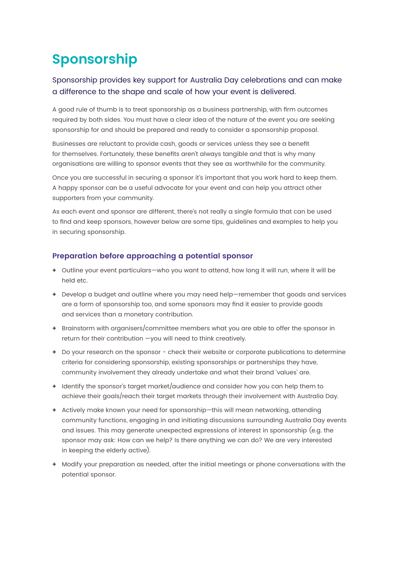## **Sponsorship**

## Sponsorship provides key support for Australia Day celebrations and can make a difference to the shape and scale of how your event is delivered.

A good rule of thumb is to treat sponsorship as a business partnership, with firm outcomes required by both sides. You must have a clear idea of the nature of the event you are seeking sponsorship for and should be prepared and ready to consider a sponsorship proposal.

Businesses are reluctant to provide cash, goods or services unless they see a benefit for themselves. Fortunately, these benefits aren't always tangible and that is why many organisations are willing to sponsor events that they see as worthwhile for the community.

Once you are successful in securing a sponsor it's important that you work hard to keep them. A happy sponsor can be a useful advocate for your event and can help you attract other supporters from your community.

As each event and sponsor are different, there's not really a single formula that can be used to find and keep sponsors, however below are some tips, guidelines and examples to help you in securing sponsorship.

## **Preparation before approaching a potential sponsor**

- **+** Outline your event particulars—who you want to attend, how long it will run, where it will be held etc.
- **+** Develop a budget and outline where you may need help—remember that goods and services are a form of sponsorship too, and some sponsors may find it easier to provide goods and services than a monetary contribution.
- **+** Brainstorm with organisers/committee members what you are able to offer the sponsor in return for their contribution —you will need to think creatively.
- **+** Do your research on the sponsor check their website or corporate publications to determine criteria for considering sponsorship, existing sponsorships or partnerships they have, community involvement they already undertake and what their brand 'values' are.
- **+** Identify the sponsor's target market/audience and consider how you can help them to achieve their goals/reach their target markets through their involvement with Australia Day.
- **+** Actively make known your need for sponsorship—this will mean networking, attending community functions, engaging in and initiating discussions surrounding Australia Day events and issues. This may generate unexpected expressions of interest in sponsorship (e.g. the sponsor may ask: How can we help? Is there anything we can do? We are very interested in keeping the elderly active).
- **+** Modify your preparation as needed, after the initial meetings or phone conversations with the potential sponsor.